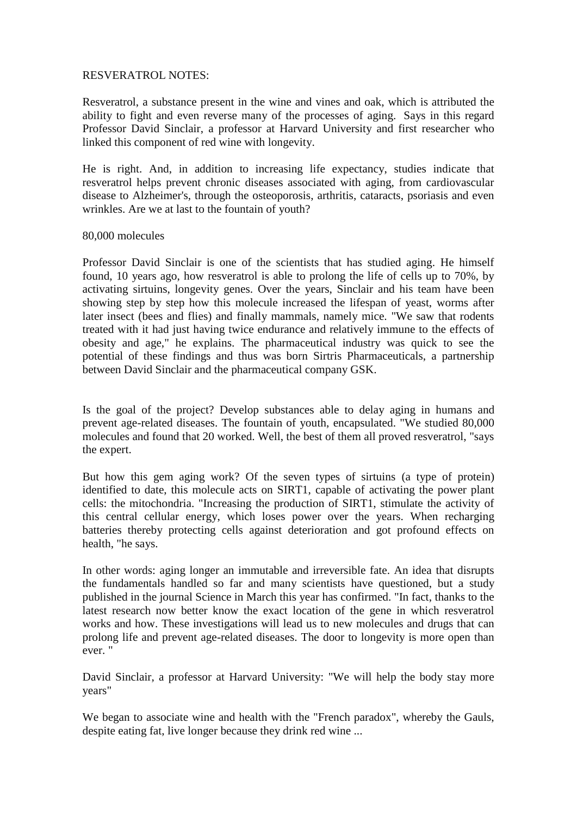## RESVERATROL NOTES:

Resveratrol, a substance present in the wine and vines and oak, which is attributed the ability to fight and even reverse many of the processes of aging. Says in this regard Professor David Sinclair, a professor at Harvard University and first researcher who linked this component of red wine with longevity.

He is right. And, in addition to increasing life expectancy, studies indicate that resveratrol helps prevent chronic diseases associated with aging, from cardiovascular disease to Alzheimer's, through the osteoporosis, arthritis, cataracts, psoriasis and even wrinkles. Are we at last to the fountain of youth?

## 80,000 molecules

Professor David Sinclair is one of the scientists that has studied aging. He himself found, 10 years ago, how resveratrol is able to prolong the life of cells up to 70%, by activating sirtuins, longevity genes. Over the years, Sinclair and his team have been showing step by step how this molecule increased the lifespan of yeast, worms after later insect (bees and flies) and finally mammals, namely mice. "We saw that rodents treated with it had just having twice endurance and relatively immune to the effects of obesity and age," he explains. The pharmaceutical industry was quick to see the potential of these findings and thus was born Sirtris Pharmaceuticals, a partnership between David Sinclair and the pharmaceutical company GSK.

Is the goal of the project? Develop substances able to delay aging in humans and prevent age-related diseases. The fountain of youth, encapsulated. "We studied 80,000 molecules and found that 20 worked. Well, the best of them all proved resveratrol, "says the expert.

But how this gem aging work? Of the seven types of sirtuins (a type of protein) identified to date, this molecule acts on SIRT1, capable of activating the power plant cells: the mitochondria. "Increasing the production of SIRT1, stimulate the activity of this central cellular energy, which loses power over the years. When recharging batteries thereby protecting cells against deterioration and got profound effects on health, "he says.

In other words: aging longer an immutable and irreversible fate. An idea that disrupts the fundamentals handled so far and many scientists have questioned, but a study published in the journal Science in March this year has confirmed. "In fact, thanks to the latest research now better know the exact location of the gene in which resveratrol works and how. These investigations will lead us to new molecules and drugs that can prolong life and prevent age-related diseases. The door to longevity is more open than ever. "

David Sinclair, a professor at Harvard University: "We will help the body stay more years"

We began to associate wine and health with the "French paradox", whereby the Gauls, despite eating fat, live longer because they drink red wine ...